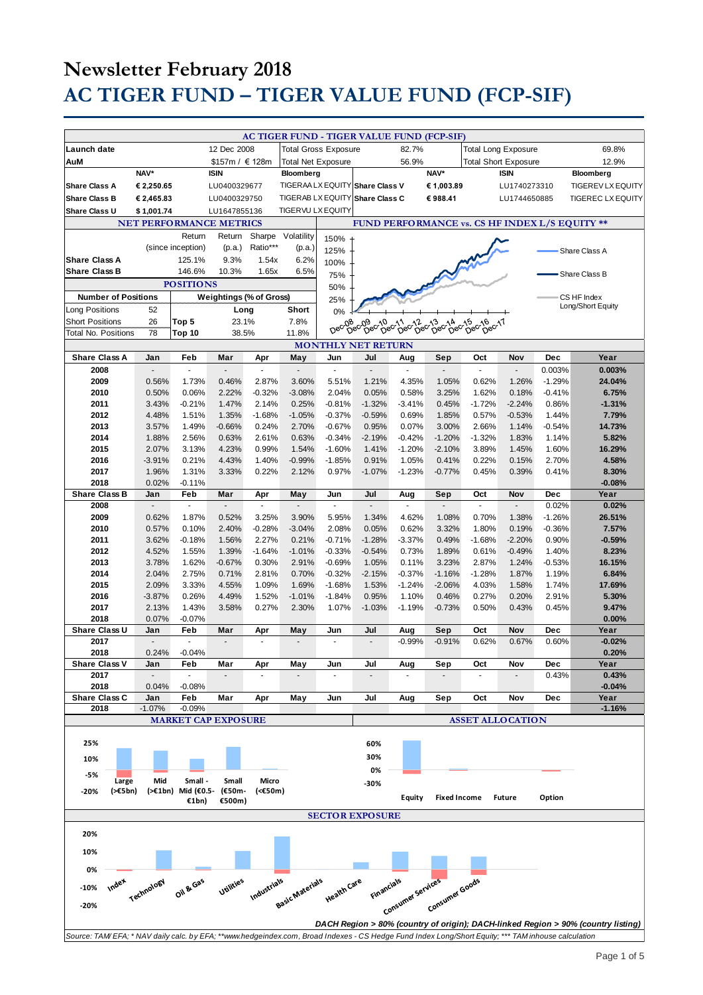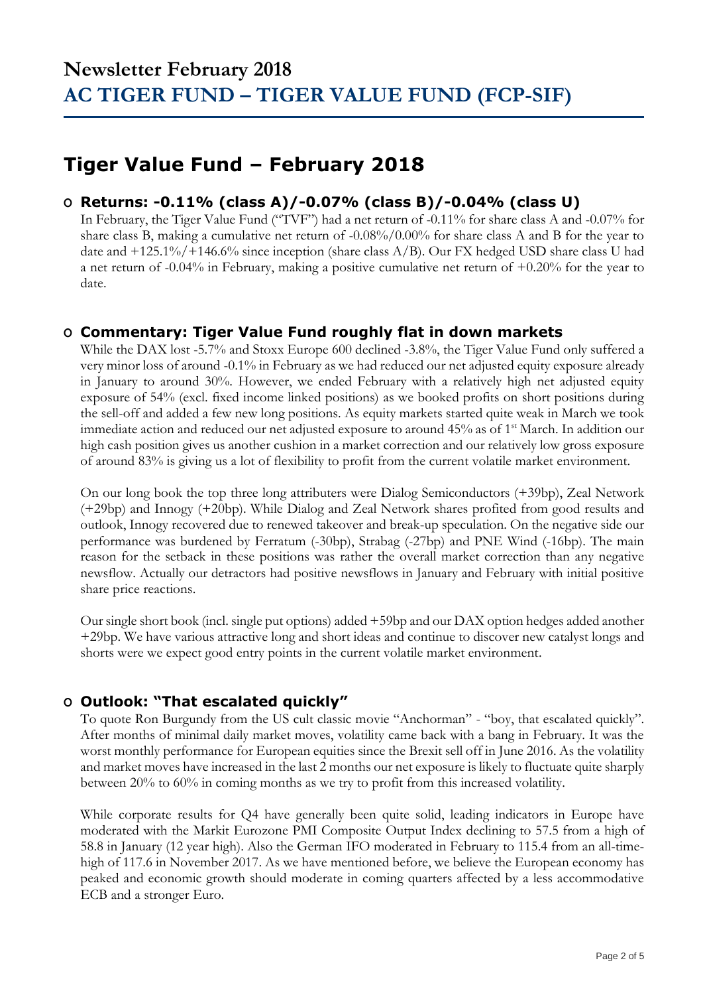## **Tiger Value Fund – February 2018**

#### **O Returns: -0.11% (class A)/-0.07% (class B)/-0.04% (class U)**

In February, the Tiger Value Fund ("TVF") had a net return of -0.11% for share class A and -0.07% for share class B, making a cumulative net return of -0.08%/0.00% for share class A and B for the year to date and +125.1%/+146.6% since inception (share class A/B). Our FX hedged USD share class U had a net return of -0.04% in February, making a positive cumulative net return of +0.20% for the year to date.

### **O Commentary: Tiger Value Fund roughly flat in down markets**

While the DAX lost -5.7% and Stoxx Europe 600 declined -3.8%, the Tiger Value Fund only suffered a very minor loss of around -0.1% in February as we had reduced our net adjusted equity exposure already in January to around 30%. However, we ended February with a relatively high net adjusted equity exposure of 54% (excl. fixed income linked positions) as we booked profits on short positions during the sell-off and added a few new long positions. As equity markets started quite weak in March we took immediate action and reduced our net adjusted exposure to around 45% as of 1<sup>st</sup> March. In addition our high cash position gives us another cushion in a market correction and our relatively low gross exposure of around 83% is giving us a lot of flexibility to profit from the current volatile market environment.

On our long book the top three long attributers were Dialog Semiconductors (+39bp), Zeal Network (+29bp) and Innogy (+20bp). While Dialog and Zeal Network shares profited from good results and outlook, Innogy recovered due to renewed takeover and break-up speculation. On the negative side our performance was burdened by Ferratum (-30bp), Strabag (-27bp) and PNE Wind (-16bp). The main reason for the setback in these positions was rather the overall market correction than any negative newsflow. Actually our detractors had positive newsflows in January and February with initial positive share price reactions.

Our single short book (incl. single put options) added +59bp and our DAX option hedges added another +29bp. We have various attractive long and short ideas and continue to discover new catalyst longs and shorts were we expect good entry points in the current volatile market environment.

### **O Outlook: "That escalated quickly"**

To quote Ron Burgundy from the US cult classic movie "Anchorman" - "boy, that escalated quickly". After months of minimal daily market moves, volatility came back with a bang in February. It was the worst monthly performance for European equities since the Brexit sell off in June 2016. As the volatility and market moves have increased in the last 2 months our net exposure is likely to fluctuate quite sharply between 20% to 60% in coming months as we try to profit from this increased volatility.

While corporate results for Q4 have generally been quite solid, leading indicators in Europe have moderated with the Markit Eurozone PMI Composite Output Index declining to 57.5 from a high of 58.8 in January (12 year high). Also the German IFO moderated in February to 115.4 from an all-timehigh of 117.6 in November 2017. As we have mentioned before, we believe the European economy has peaked and economic growth should moderate in coming quarters affected by a less accommodative ECB and a stronger Euro.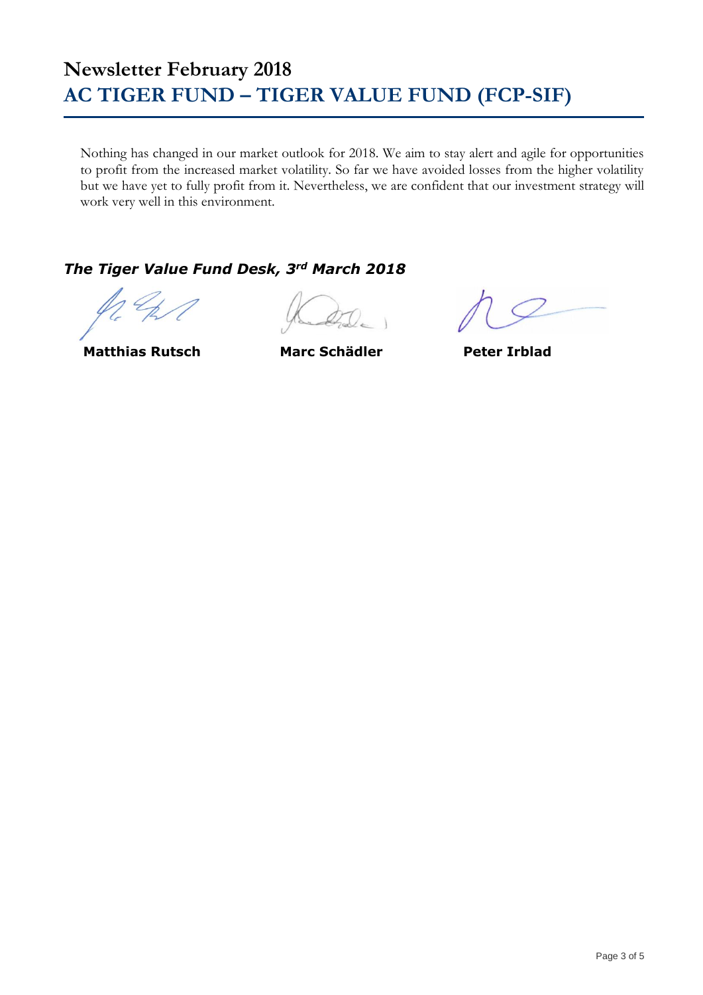Nothing has changed in our market outlook for 2018. We aim to stay alert and agile for opportunities to profit from the increased market volatility. So far we have avoided losses from the higher volatility but we have yet to fully profit from it. Nevertheless, we are confident that our investment strategy will work very well in this environment.

### *The Tiger Value Fund Desk, 3rd March 2018*

**Matthias Rutsch Marc Schädler Peter Irblad**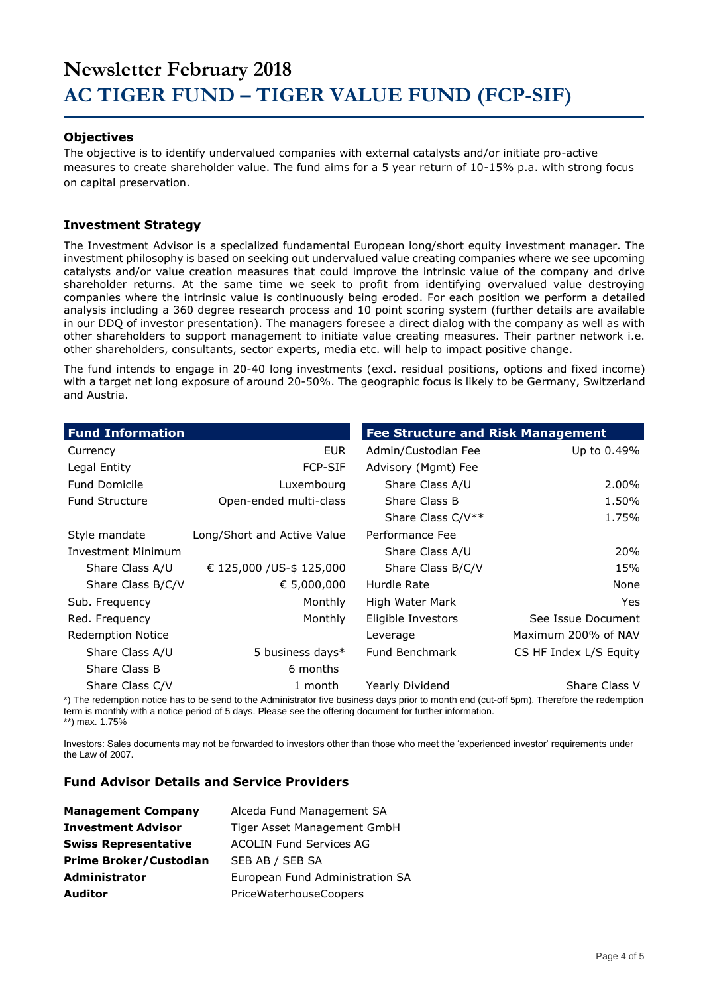#### **Objectives**

The objective is to identify undervalued companies with external catalysts and/or initiate pro-active measures to create shareholder value. The fund aims for a 5 year return of 10-15% p.a. with strong focus on capital preservation.

#### **Investment Strategy**

The Investment Advisor is a specialized fundamental European long/short equity investment manager. The investment philosophy is based on seeking out undervalued value creating companies where we see upcoming catalysts and/or value creation measures that could improve the intrinsic value of the company and drive shareholder returns. At the same time we seek to profit from identifying overvalued value destroying companies where the intrinsic value is continuously being eroded. For each position we perform a detailed analysis including a 360 degree research process and 10 point scoring system (further details are available in our DDQ of investor presentation). The managers foresee a direct dialog with the company as well as with other shareholders to support management to initiate value creating measures. Their partner network i.e. other shareholders, consultants, sector experts, media etc. will help to impact positive change.

The fund intends to engage in 20-40 long investments (excl. residual positions, options and fixed income) with a target net long exposure of around 20-50%. The geographic focus is likely to be Germany, Switzerland and Austria.

| <b>Fund Information</b>  |                             | <b>Fee Structure and Risk Management</b> |                        |
|--------------------------|-----------------------------|------------------------------------------|------------------------|
| Currency                 | <b>EUR</b>                  | Admin/Custodian Fee                      | Up to 0.49%            |
| Legal Entity             | <b>FCP-SIF</b>              | Advisory (Mgmt) Fee                      |                        |
| <b>Fund Domicile</b>     | Luxembourg                  | Share Class A/U                          | 2.00%                  |
| <b>Fund Structure</b>    | Open-ended multi-class      | Share Class B                            | 1.50%                  |
|                          |                             | Share Class C/V**                        | 1.75%                  |
| Style mandate            | Long/Short and Active Value | Performance Fee                          |                        |
| Investment Minimum       |                             | Share Class A/U                          | 20%                    |
| Share Class A/U          | € 125,000 / US-\$ 125,000   | Share Class B/C/V                        | 15%                    |
| Share Class B/C/V        | € 5,000,000                 | Hurdle Rate                              | None                   |
| Sub. Frequency           | Monthly                     | High Water Mark                          | Yes                    |
| Red. Frequency           | Monthly                     | Eligible Investors                       | See Issue Document     |
| <b>Redemption Notice</b> |                             | Leverage                                 | Maximum 200% of NAV    |
| Share Class A/U          | 5 business days*            | Fund Benchmark                           | CS HF Index L/S Equity |
| Share Class B            | 6 months                    |                                          |                        |
| Share Class C/V          | 1 month                     | Yearly Dividend                          | Share Class V          |

\*) The redemption notice has to be send to the Administrator five business days prior to month end (cut-off 5pm). Therefore the redemption term is monthly with a notice period of 5 days. Please see the offering document for further information. \*\*) max. 1.75%

Investors: Sales documents may not be forwarded to investors other than those who meet the 'experienced investor' requirements under the Law of 2007.

#### **Fund Advisor Details and Service Providers**

| <b>Management Company</b>     | Alceda Fund Management SA       |
|-------------------------------|---------------------------------|
| <b>Investment Advisor</b>     | Tiger Asset Management GmbH     |
| <b>Swiss Representative</b>   | <b>ACOLIN Fund Services AG</b>  |
| <b>Prime Broker/Custodian</b> | SEB AB / SEB SA                 |
| <b>Administrator</b>          | European Fund Administration SA |
| <b>Auditor</b>                | PriceWaterhouseCoopers          |